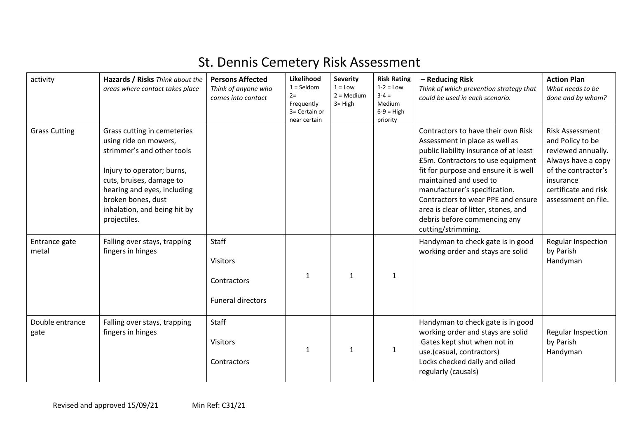## St. Dennis Cemetery Risk Assessment

| activity                | Hazards / Risks Think about the<br>areas where contact takes place                                                                                                                                                                                | <b>Persons Affected</b><br>Think of anyone who<br>comes into contact       | Likelihood<br>$1 =$ Seldom<br>$2=$<br>Frequently<br>3= Certain or<br>near certain | <b>Severity</b><br>$1 =$ Low<br>$2 = \text{Median}$<br>$3 = High$ | <b>Risk Rating</b><br>$1-2 = Low$<br>$3 - 4 =$<br>Medium<br>$6-9 = High$<br>priority | - Reducing Risk<br>Think of which prevention strategy that<br>could be used in each scenario.                                                                                                                                                                                                                                                                                               | <b>Action Plan</b><br>What needs to be<br>done and by whom?                                                                                                               |
|-------------------------|---------------------------------------------------------------------------------------------------------------------------------------------------------------------------------------------------------------------------------------------------|----------------------------------------------------------------------------|-----------------------------------------------------------------------------------|-------------------------------------------------------------------|--------------------------------------------------------------------------------------|---------------------------------------------------------------------------------------------------------------------------------------------------------------------------------------------------------------------------------------------------------------------------------------------------------------------------------------------------------------------------------------------|---------------------------------------------------------------------------------------------------------------------------------------------------------------------------|
| <b>Grass Cutting</b>    | Grass cutting in cemeteries<br>using ride on mowers,<br>strimmer's and other tools<br>Injury to operator; burns,<br>cuts, bruises, damage to<br>hearing and eyes, including<br>broken bones, dust<br>inhalation, and being hit by<br>projectiles. |                                                                            |                                                                                   |                                                                   |                                                                                      | Contractors to have their own Risk<br>Assessment in place as well as<br>public liability insurance of at least<br>£5m. Contractors to use equipment<br>fit for purpose and ensure it is well<br>maintained and used to<br>manufacturer's specification.<br>Contractors to wear PPE and ensure<br>area is clear of litter, stones, and<br>debris before commencing any<br>cutting/strimming. | <b>Risk Assessment</b><br>and Policy to be<br>reviewed annually.<br>Always have a copy<br>of the contractor's<br>insurance<br>certificate and risk<br>assessment on file. |
| Entrance gate<br>metal  | Falling over stays, trapping<br>fingers in hinges                                                                                                                                                                                                 | <b>Staff</b><br><b>Visitors</b><br>Contractors<br><b>Funeral directors</b> | 1                                                                                 | $\mathbf{1}$                                                      | 1                                                                                    | Handyman to check gate is in good<br>working order and stays are solid                                                                                                                                                                                                                                                                                                                      | <b>Regular Inspection</b><br>by Parish<br>Handyman                                                                                                                        |
| Double entrance<br>gate | Falling over stays, trapping<br>fingers in hinges                                                                                                                                                                                                 | Staff<br><b>Visitors</b><br>Contractors                                    | $\mathbf{1}$                                                                      | $\mathbf 1$                                                       | 1                                                                                    | Handyman to check gate is in good<br>working order and stays are solid<br>Gates kept shut when not in<br>use.(casual, contractors)<br>Locks checked daily and oiled<br>regularly (causals)                                                                                                                                                                                                  | Regular Inspection<br>by Parish<br>Handyman                                                                                                                               |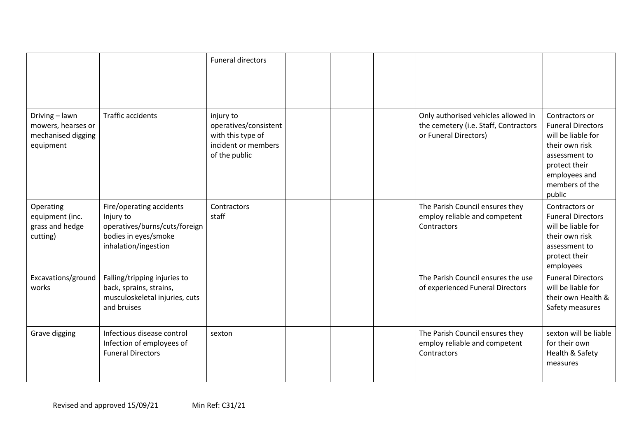|                                                                         |                                                                                                                        | <b>Funeral directors</b>                                                                        |  |                                                                                                       |                                                                                                                                                                   |
|-------------------------------------------------------------------------|------------------------------------------------------------------------------------------------------------------------|-------------------------------------------------------------------------------------------------|--|-------------------------------------------------------------------------------------------------------|-------------------------------------------------------------------------------------------------------------------------------------------------------------------|
| Driving - lawn<br>mowers, hearses or<br>mechanised digging<br>equipment | <b>Traffic accidents</b>                                                                                               | injury to<br>operatives/consistent<br>with this type of<br>incident or members<br>of the public |  | Only authorised vehicles allowed in<br>the cemetery (i.e. Staff, Contractors<br>or Funeral Directors) | Contractors or<br><b>Funeral Directors</b><br>will be liable for<br>their own risk<br>assessment to<br>protect their<br>employees and<br>members of the<br>public |
| Operating<br>equipment (inc.<br>grass and hedge<br>cutting)             | Fire/operating accidents<br>Injury to<br>operatives/burns/cuts/foreign<br>bodies in eyes/smoke<br>inhalation/ingestion | Contractors<br>staff                                                                            |  | The Parish Council ensures they<br>employ reliable and competent<br>Contractors                       | Contractors or<br><b>Funeral Directors</b><br>will be liable for<br>their own risk<br>assessment to<br>protect their<br>employees                                 |
| Excavations/ground<br>works                                             | Falling/tripping injuries to<br>back, sprains, strains,<br>musculoskeletal injuries, cuts<br>and bruises               |                                                                                                 |  | The Parish Council ensures the use<br>of experienced Funeral Directors                                | <b>Funeral Directors</b><br>will be liable for<br>their own Health &<br>Safety measures                                                                           |
| Grave digging                                                           | Infectious disease control<br>Infection of employees of<br><b>Funeral Directors</b>                                    | sexton                                                                                          |  | The Parish Council ensures they<br>employ reliable and competent<br>Contractors                       | sexton will be liable<br>for their own<br>Health & Safety<br>measures                                                                                             |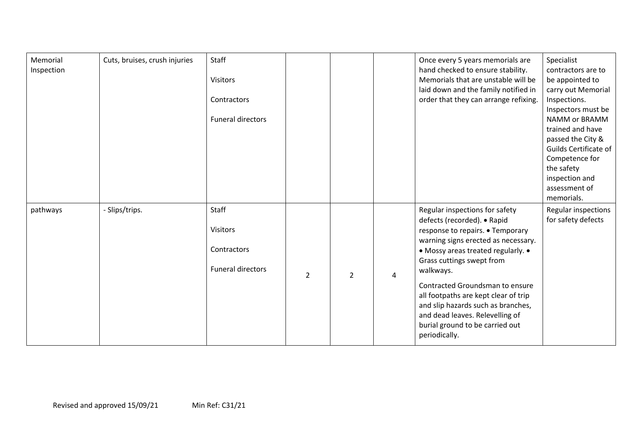| Memorial<br>Inspection | Cuts, bruises, crush injuries | Staff<br>Visitors<br>Contractors<br>Funeral directors               |                |                |   | Once every 5 years memorials are<br>hand checked to ensure stability.<br>Memorials that are unstable will be<br>laid down and the family notified in<br>order that they can arrange refixing.                                                                                                                                                                                                                                    | Specialist<br>contractors are to<br>be appointed to<br>carry out Memorial<br>Inspections.<br>Inspectors must be<br>NAMM or BRAMM<br>trained and have<br>passed the City &<br>Guilds Certificate of<br>Competence for<br>the safety<br>inspection and<br>assessment of<br>memorials. |
|------------------------|-------------------------------|---------------------------------------------------------------------|----------------|----------------|---|----------------------------------------------------------------------------------------------------------------------------------------------------------------------------------------------------------------------------------------------------------------------------------------------------------------------------------------------------------------------------------------------------------------------------------|-------------------------------------------------------------------------------------------------------------------------------------------------------------------------------------------------------------------------------------------------------------------------------------|
| pathways               | - Slips/trips.                | Staff<br><b>Visitors</b><br>Contractors<br><b>Funeral directors</b> | $\overline{2}$ | $\overline{2}$ | 4 | Regular inspections for safety<br>defects (recorded). • Rapid<br>response to repairs. • Temporary<br>warning signs erected as necessary.<br>• Mossy areas treated regularly. •<br>Grass cuttings swept from<br>walkways.<br>Contracted Groundsman to ensure<br>all footpaths are kept clear of trip<br>and slip hazards such as branches,<br>and dead leaves. Relevelling of<br>burial ground to be carried out<br>periodically. | Regular inspections<br>for safety defects                                                                                                                                                                                                                                           |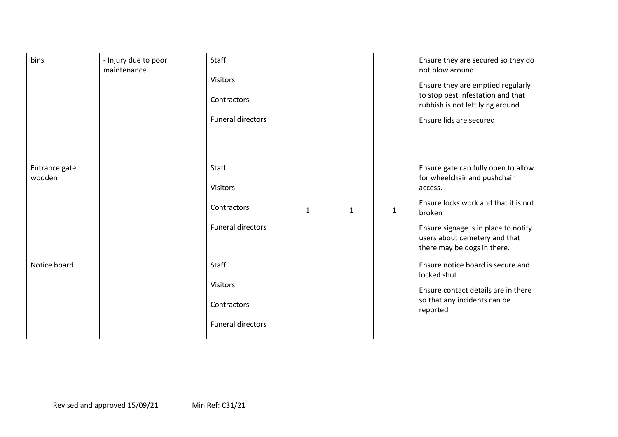| bins                    | - Injury due to poor<br>maintenance. | Staff<br><b>Visitors</b><br>Contractors<br><b>Funeral directors</b> |              |              |              | Ensure they are secured so they do<br>not blow around<br>Ensure they are emptied regularly<br>to stop pest infestation and that<br>rubbish is not left lying around<br>Ensure lids are secured                                           |
|-------------------------|--------------------------------------|---------------------------------------------------------------------|--------------|--------------|--------------|------------------------------------------------------------------------------------------------------------------------------------------------------------------------------------------------------------------------------------------|
| Entrance gate<br>wooden |                                      | Staff<br><b>Visitors</b><br>Contractors<br><b>Funeral directors</b> | $\mathbf{1}$ | $\mathbf{1}$ | $\mathbf{1}$ | Ensure gate can fully open to allow<br>for wheelchair and pushchair<br>access.<br>Ensure locks work and that it is not<br>broken<br>Ensure signage is in place to notify<br>users about cemetery and that<br>there may be dogs in there. |
| Notice board            |                                      | Staff<br><b>Visitors</b><br>Contractors<br><b>Funeral directors</b> |              |              |              | Ensure notice board is secure and<br>locked shut<br>Ensure contact details are in there<br>so that any incidents can be<br>reported                                                                                                      |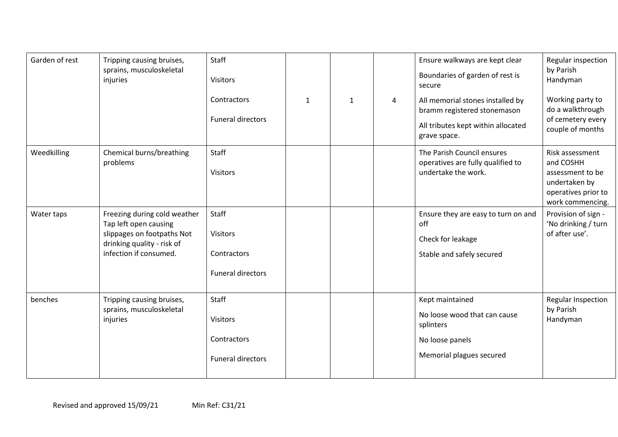| Garden of rest | Tripping causing bruises,<br>sprains, musculoskeletal<br>injuries                                                                           | Staff<br><b>Visitors</b><br>Contractors<br><b>Funeral directors</b> | $\mathbf{1}$ | $\mathbf{1}$ | 4 | Ensure walkways are kept clear<br>Boundaries of garden of rest is<br>secure<br>All memorial stones installed by<br>bramm registered stonemason<br>All tributes kept within allocated<br>grave space. | Regular inspection<br>by Parish<br>Handyman<br>Working party to<br>do a walkthrough<br>of cemetery every<br>couple of months |
|----------------|---------------------------------------------------------------------------------------------------------------------------------------------|---------------------------------------------------------------------|--------------|--------------|---|------------------------------------------------------------------------------------------------------------------------------------------------------------------------------------------------------|------------------------------------------------------------------------------------------------------------------------------|
| Weedkilling    | Chemical burns/breathing<br>problems                                                                                                        | Staff<br><b>Visitors</b>                                            |              |              |   | The Parish Council ensures<br>operatives are fully qualified to<br>undertake the work.                                                                                                               | Risk assessment<br>and COSHH<br>assessment to be<br>undertaken by<br>operatives prior to<br>work commencing.                 |
| Water taps     | Freezing during cold weather<br>Tap left open causing<br>slippages on footpaths Not<br>drinking quality - risk of<br>infection if consumed. | Staff<br><b>Visitors</b><br>Contractors<br><b>Funeral directors</b> |              |              |   | Ensure they are easy to turn on and<br>off<br>Check for leakage<br>Stable and safely secured                                                                                                         | Provision of sign -<br>'No drinking / turn<br>of after use'.                                                                 |
| benches        | Tripping causing bruises,<br>sprains, musculoskeletal<br>injuries                                                                           | Staff<br><b>Visitors</b><br>Contractors<br><b>Funeral directors</b> |              |              |   | Kept maintained<br>No loose wood that can cause<br>splinters<br>No loose panels<br>Memorial plagues secured                                                                                          | Regular Inspection<br>by Parish<br>Handyman                                                                                  |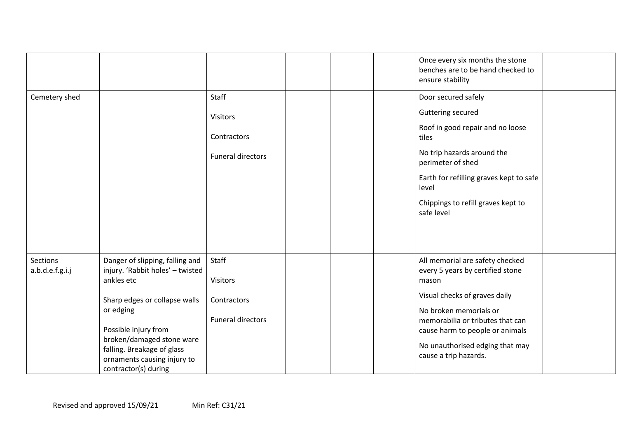|                             |                                                                                                                                                                                                                                                                           |                                                                     |  | Once every six months the stone<br>benches are to be hand checked to<br>ensure stability                                                                                                                                                                                   |  |
|-----------------------------|---------------------------------------------------------------------------------------------------------------------------------------------------------------------------------------------------------------------------------------------------------------------------|---------------------------------------------------------------------|--|----------------------------------------------------------------------------------------------------------------------------------------------------------------------------------------------------------------------------------------------------------------------------|--|
| Cemetery shed               |                                                                                                                                                                                                                                                                           | Staff<br><b>Visitors</b><br>Contractors<br>Funeral directors        |  | Door secured safely<br>Guttering secured<br>Roof in good repair and no loose<br>tiles<br>No trip hazards around the<br>perimeter of shed<br>Earth for refilling graves kept to safe<br>level<br>Chippings to refill graves kept to<br>safe level                           |  |
| Sections<br>a.b.d.e.f.g.i.j | Danger of slipping, falling and<br>injury. 'Rabbit holes' - twisted<br>ankles etc<br>Sharp edges or collapse walls<br>or edging<br>Possible injury from<br>broken/damaged stone ware<br>falling. Breakage of glass<br>ornaments causing injury to<br>contractor(s) during | Staff<br><b>Visitors</b><br>Contractors<br><b>Funeral directors</b> |  | All memorial are safety checked<br>every 5 years by certified stone<br>mason<br>Visual checks of graves daily<br>No broken memorials or<br>memorabilia or tributes that can<br>cause harm to people or animals<br>No unauthorised edging that may<br>cause a trip hazards. |  |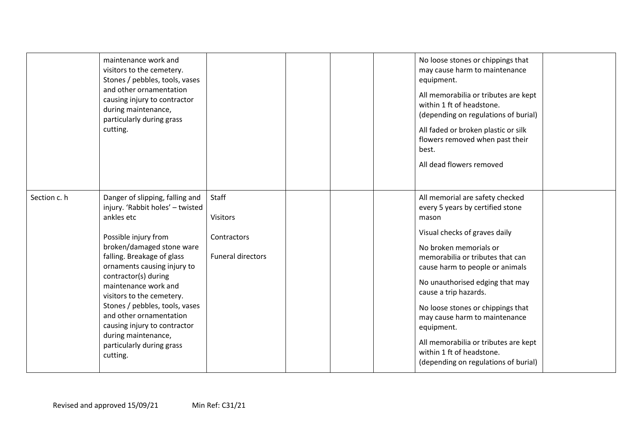|              | maintenance work and<br>visitors to the cemetery.<br>Stones / pebbles, tools, vases<br>and other ornamentation<br>causing injury to contractor<br>during maintenance,<br>particularly during grass<br>cutting.                                                                                                                                                                                                                                |                                                                     |  | No loose stones or chippings that<br>may cause harm to maintenance<br>equipment.<br>All memorabilia or tributes are kept<br>within 1 ft of headstone.<br>(depending on regulations of burial)<br>All faded or broken plastic or silk<br>flowers removed when past their<br>best.<br>All dead flowers removed                                                                                                                                                                |  |
|--------------|-----------------------------------------------------------------------------------------------------------------------------------------------------------------------------------------------------------------------------------------------------------------------------------------------------------------------------------------------------------------------------------------------------------------------------------------------|---------------------------------------------------------------------|--|-----------------------------------------------------------------------------------------------------------------------------------------------------------------------------------------------------------------------------------------------------------------------------------------------------------------------------------------------------------------------------------------------------------------------------------------------------------------------------|--|
| Section c. h | Danger of slipping, falling and<br>injury. 'Rabbit holes' - twisted<br>ankles etc<br>Possible injury from<br>broken/damaged stone ware<br>falling. Breakage of glass<br>ornaments causing injury to<br>contractor(s) during<br>maintenance work and<br>visitors to the cemetery.<br>Stones / pebbles, tools, vases<br>and other ornamentation<br>causing injury to contractor<br>during maintenance,<br>particularly during grass<br>cutting. | Staff<br><b>Visitors</b><br>Contractors<br><b>Funeral directors</b> |  | All memorial are safety checked<br>every 5 years by certified stone<br>mason<br>Visual checks of graves daily<br>No broken memorials or<br>memorabilia or tributes that can<br>cause harm to people or animals<br>No unauthorised edging that may<br>cause a trip hazards.<br>No loose stones or chippings that<br>may cause harm to maintenance<br>equipment.<br>All memorabilia or tributes are kept<br>within 1 ft of headstone.<br>(depending on regulations of burial) |  |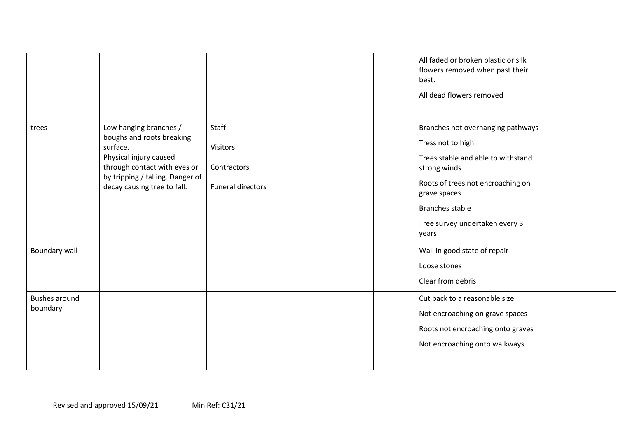|                                  |                                                                                                                                                                                              |                                                       |  | All faded or broken plastic or silk<br>flowers removed when past their<br>best.<br>All dead flowers removed                                                                                                                            |  |
|----------------------------------|----------------------------------------------------------------------------------------------------------------------------------------------------------------------------------------------|-------------------------------------------------------|--|----------------------------------------------------------------------------------------------------------------------------------------------------------------------------------------------------------------------------------------|--|
| trees                            | Low hanging branches /<br>boughs and roots breaking<br>surface.<br>Physical injury caused<br>through contact with eyes or<br>by tripping / falling. Danger of<br>decay causing tree to fall. | Staff<br>Visitors<br>Contractors<br>Funeral directors |  | Branches not overhanging pathways<br>Tress not to high<br>Trees stable and able to withstand<br>strong winds<br>Roots of trees not encroaching on<br>grave spaces<br><b>Branches stable</b><br>Tree survey undertaken every 3<br>years |  |
| Boundary wall                    |                                                                                                                                                                                              |                                                       |  | Wall in good state of repair<br>Loose stones<br>Clear from debris                                                                                                                                                                      |  |
| <b>Bushes around</b><br>boundary |                                                                                                                                                                                              |                                                       |  | Cut back to a reasonable size<br>Not encroaching on grave spaces<br>Roots not encroaching onto graves<br>Not encroaching onto walkways                                                                                                 |  |